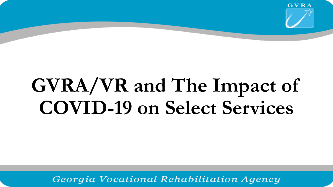

# **GVRA/VR and The Impact of COVID-19 on Select Services**

Georgia Vocational Rehabilitation Agency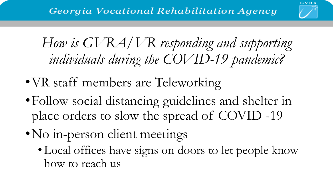

## *How is GVRA/VR responding and supporting individuals during the COVID-19 pandemic?*

- VR staff members are Teleworking
- •Follow social distancing guidelines and shelter in place orders to slow the spread of COVID -19
- •No in-person client meetings
	- Local offices have signs on doors to let people know how to reach us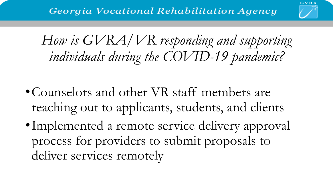

*How is GVRA/VR responding and supporting individuals during the COVID-19 pandemic?*

- Counselors and other VR staff members are reaching out to applicants, students, and clients
- Implemented a remote service delivery approval process for providers to submit proposals to deliver services remotely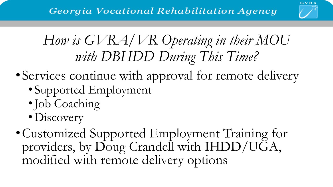

## *How is GVRA/VR Operating in their MOU with DBHDD During This Time?*

- Services continue with approval for remote delivery
	- Supported Employment
	- •Job Coaching
	- Discovery
- •Customized Supported Employment Training for providers, by Doug Crandell with IHDD/UGA, modified with remote delivery options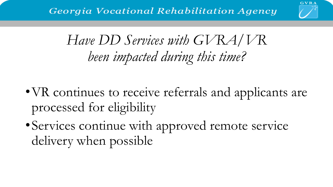

## *Have DD Services with GVRA/VR been impacted during this time?*

- VR continues to receive referrals and applicants are processed for eligibility
- •Services continue with approved remote service delivery when possible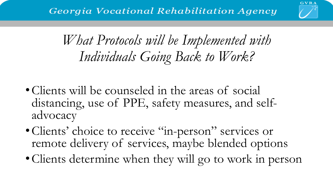

## *What Protocols will be Implemented with Individuals Going Back to Work?*

- Clients will be counseled in the areas of social distancing, use of PPE, safety measures, and selfadvocacy
- Clients' choice to receive "in-person" services or remote delivery of services, maybe blended options
- •Clients determine when they will go to work in person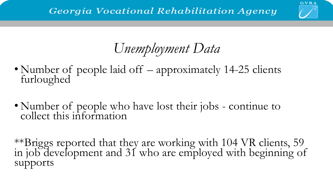

## *Unemployment Data*

- Number of people laid off approximately 14-25 clients furloughed
- Number of people who have lost their jobs continue to collect this information

\*\*Briggs reported that they are working with 104 VR clients, 59 in job development and 31 who are employed with beginning of supports